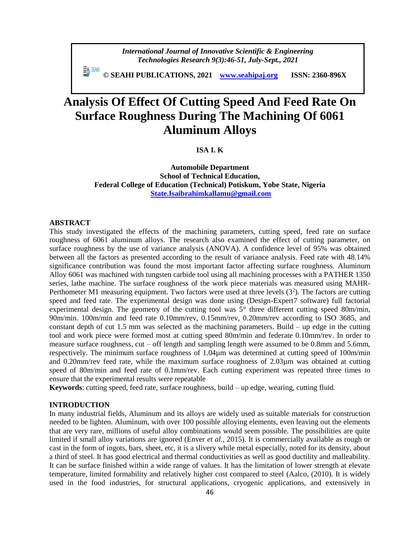*International Journal of Innovative Scientific & Engineering Technologies Research 9(3):46-51, July-Sept., 2021*

 **© SEAHI PUBLICATIONS, 2021 [www.seahipaj.org](http://www.seahipaj.org/) ISSN: 2360-896X**

# **Analysis Of Effect Of Cutting Speed And Feed Rate On Surface Roughness During The Machining Of 6061 Aluminum Alloys**

### **ISA I. K**

**Automobile Department School of Technical Education, Federal College of Education (Technical) Potiskum, Yobe State, Nigeria [State.Isaibrahimkallamu@gmail.com](mailto:State.Isaibrahimkallamu@gmail.com)**

### **ABSTRACT**

This study investigated the effects of the machining parameters, cutting speed, feed rate on surface roughness of 6061 aluminum alloys. The research also examined the effect of cutting parameter, on surface roughness by the use of variance analysis (ANOVA). A confidence level of 95% was obtained between all the factors as presented according to the result of variance analysis. Feed rate with 48.14% significance contribution was found the most important factor affecting surface roughness. Aluminum Alloy 6061 was machined with tungsten carbide tool using all machining processes with a PATHER 1350 series, lathe machine. The surface roughness of the work piece materials was measured using MAHR-Perthometer M1 measuring equipment. Two factors were used at three levels (3<sup>2</sup>). The factors are cutting speed and feed rate. The experimental design was done using (Design-Expert7 software) full factorial experimental design. The geometry of the cutting tool was 5° three different cutting speed 80m/min, 90m/min. 100m/min and feed rate 0.10mm/rev, 0.15mm/rev, 0.20mm/rev according to ISO 3685, and constant depth of cut 1.5 mm was selected as the machining parameters. Build – up edge in the cutting tool and work piece were formed most at cutting speed 80m/min and federate 0.10mm/rev. In order to measure surface roughness, cut – off length and sampling length were assumed to be 0.8mm and 5.6mm, respectively. The minimum surface roughness of 1.04µm was determined at cutting speed of 100m/min and 0.20mm/rev feed rate, while the maximum surface roughness of 2.03µm was obtained at cutting speed of 80m/min and feed rate of 0.1mm/rev. Each cutting experiment was repeated three times to ensure that the experimental results were repeatable

**Keywords**: cutting speed, feed rate, surface roughness, build – up edge, wearing, cutting fluid.

### **INTRODUCTION**

In many industrial fields, Aluminum and its alloys are widely used as suitable materials for construction needed to be lighten. Aluminum, with over 100 possible alloying elements, even leaving out the elements that are very rare, millions of useful alloy combinations would seem possible. The possibilities are quite limited if small alloy variations are ignored (Enver *et al.,* 2015). It is commercially available as rough or cast in the form of ingots, bars, sheet, etc, it is a slivery while metal especially, noted for its density, about a third of steel. It has good electrical and thermal conductivities as well as good ductility and malleability. It can be surface finished within a wide range of values. It has the limitation of lower strength at elevate temperature, limited formability and relatively higher cost compared to steel (Aalco, (2010). It is widely used in the food industries, for structural applications, cryogenic applications, and extensively in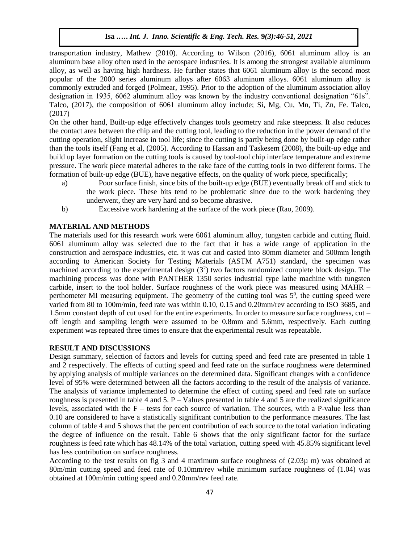**Isa .….** *Int. J. Inno. Scientific & Eng. Tech. Res.* **9***(3):46-51, 2021*

transportation industry, Mathew (2010). According to Wilson (2016), 6061 aluminum alloy is an aluminum base alloy often used in the aerospace industries. It is among the strongest available aluminum alloy, as well as having high hardness. He further states that 6061 aluminum alloy is the second most popular of the 2000 series aluminum alloys after 6063 aluminum alloys. 6061 aluminum alloy is commonly extruded and forged (Polmear, 1995). Prior to the adoption of the aluminum association alloy designation in 1935, 6062 aluminum alloy was known by the industry conventional designation "61s". Talco, (2017), the composition of 6061 aluminum alloy include; Si, Mg, Cu, Mn, Ti, Zn, Fe. Talco, (2017)

On the other hand, Built-up edge effectively changes tools geometry and rake steepness. It also reduces the contact area between the chip and the cutting tool, leading to the reduction in the power demand of the cutting operation, slight increase in tool life; since the cutting is partly being done by built-up edge rather than the tools itself (Fang et al, (2005). According to Hassan and Taskesem (2008), the built-up edge and build up layer formation on the cutting tools is caused by tool-tool chip interface temperature and extreme pressure. The work piece material adheres to the rake face of the cutting tools in two different forms. The formation of built-up edge (BUE), have negative effects, on the quality of work piece, specifically;

- a) Poor surface finish, since bits of the built-up edge (BUE) eventually break off and stick to the work piece. These bits tend to be problematic since due to the work hardening they underwent, they are very hard and so become abrasive.
- b) Excessive work hardening at the surface of the work piece (Rao, 2009).

# **MATERIAL AND METHODS**

The materials used for this research work were 6061 aluminum alloy, tungsten carbide and cutting fluid. 6061 aluminum alloy was selected due to the fact that it has a wide range of application in the construction and aerospace industries, etc. it was cut and casted into 80mm diameter and 500mm length according to American Society for Testing Materials (ASTM A751) standard, the specimen was machined according to the experimental design  $(3^2)$  two factors randomized complete block design. The machining process was done with PANTHER 1350 series industrial type lathe machine with tungsten carbide, insert to the tool holder. Surface roughness of the work piece was measured using MAHR – perthometer MI measuring equipment. The geometry of the cutting tool was  $5<sup>0</sup>$ , the cutting speed were varied from 80 to 100m/min, feed rate was within 0.10, 0.15 and 0.20mm/rev according to ISO 3685, and 1.5mm constant depth of cut used for the entire experiments. In order to measure surface roughness, cut – off length and sampling length were assumed to be 0.8mm and 5.6mm, respectively. Each cutting experiment was repeated three times to ensure that the experimental result was repeatable.

### **RESULT AND DISCUSSIONS**

Design summary, selection of factors and levels for cutting speed and feed rate are presented in table 1 and 2 respectively. The effects of cutting speed and feed rate on the surface roughness were determined by applying analysis of multiple variances on the determined data. Significant changes with a confidence level of 95% were determined between all the factors according to the result of the analysis of variance. The analysis of variance implemented to determine the effect of cutting speed and feed rate on surface roughness is presented in table 4 and 5.  $P -$ Values presented in table 4 and 5 are the realized significance levels, associated with the  $F -$  tests for each source of variation. The sources, with a P-value less than 0.10 are considered to have a statistically significant contribution to the performance measures. The last column of table 4 and 5 shows that the percent contribution of each source to the total variation indicating the degree of influence on the result. Table 6 shows that the only significant factor for the surface roughness is feed rate which has 48.14% of the total variation, cutting speed with 45.85% significant level has less contribution on surface roughness.

According to the test results on fig 3 and 4 maximum surface roughness of (2.03µ m) was obtained at 80m/min cutting speed and feed rate of 0.10mm/rev while minimum surface roughness of (1.04) was obtained at 100m/min cutting speed and 0.20mm/rev feed rate.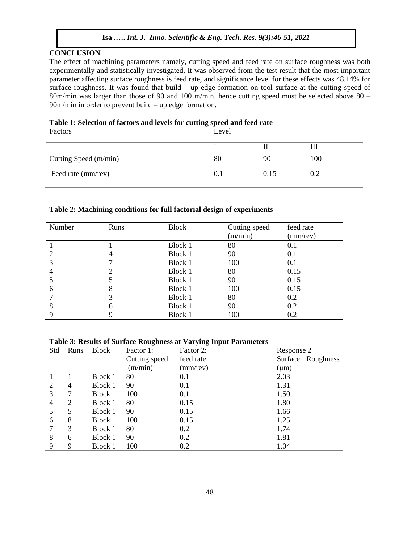# **Isa .….** *Int. J. Inno. Scientific & Eng. Tech. Res.* **9***(3):46-51, 2021*

### **CONCLUSION**

The effect of machining parameters namely, cutting speed and feed rate on surface roughness was both experimentally and statistically investigated. It was observed from the test result that the most important parameter affecting surface roughness is feed rate, and significance level for these effects was 48.14% for surface roughness. It was found that build – up edge formation on tool surface at the cutting speed of 80m/min was larger than those of 90 and 100 m/min. hence cutting speed must be selected above 80 – 90m/min in order to prevent build – up edge formation.

| <b>Table 1: Selection of factors and levels for cutting speed and leed rate</b> |       |      |     |  |
|---------------------------------------------------------------------------------|-------|------|-----|--|
| Factors                                                                         | Level |      |     |  |
|                                                                                 |       |      | Ш   |  |
| Cutting Speed (m/min)                                                           | 80    | 90   | 100 |  |
| Feed rate (mm/rev)                                                              | 0.1   | 0.15 | 0.2 |  |
|                                                                                 |       |      |     |  |

# **Table 1: Selection of factors and levels for cutting speed and feed rate**

### **Table 2: Machining conditions for full factorial design of experiments**

| Number | Runs | <b>Block</b> | Cutting speed<br>(m/min) | feed rate<br>(mm/rev) |
|--------|------|--------------|--------------------------|-----------------------|
|        |      | Block 1      | 80                       | 0.1                   |
|        |      | Block 1      | 90                       | 0.1                   |
|        |      | Block 1      | 100                      | 0.1                   |
| 4      |      | Block 1      | 80                       | 0.15                  |
|        |      | Block 1      | 90                       | 0.15                  |
| 6      | 8    | Block 1      | 100                      | 0.15                  |
|        |      | Block 1      | 80                       | 0.2                   |
| 8      | h    | Block 1      | 90                       | 0.2                   |
| 9      | Q,   | Block 1      | 100                      | 0.2                   |

### **Table 3: Results of Surface Roughness at Varying Input Parameters**

| Std | Runs | <b>Block</b> | Factor 1:     | Factor 2: | Response 2        |  |
|-----|------|--------------|---------------|-----------|-------------------|--|
|     |      |              | Cutting speed | feed rate | Surface Roughness |  |
|     |      |              | (m/min)       | (mm/rev)  | $(\mu m)$         |  |
|     |      | Block 1      | 80            | 0.1       | 2.03              |  |
| 2   | 4    | Block 1      | 90            | 0.1       | 1.31              |  |
| 3   |      | Block 1      | 100           | 0.1       | 1.50              |  |
| 4   | 2    | Block 1      | 80            | 0.15      | 1.80              |  |
|     | 5    | Block 1      | 90            | 0.15      | 1.66              |  |
| 6   | 8    | Block 1      | 100           | 0.15      | 1.25              |  |
|     | 3    | Block 1      | 80            | 0.2       | 1.74              |  |
| 8   | 6    | Block 1      | 90            | 0.2       | 1.81              |  |
| 9   | 9    | Block 1      | 100           | 0.2       | 1.04              |  |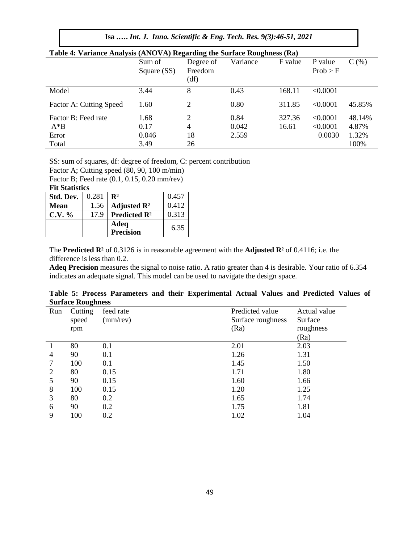# **Isa .….** *Int. J. Inno. Scientific & Eng. Tech. Res.* **9***(3):46-51, 2021*

| Table 4: Variance Analysis (ANOVA) Regarding the Surface Roughness (Ra) |             |           |          |         |          |        |
|-------------------------------------------------------------------------|-------------|-----------|----------|---------|----------|--------|
|                                                                         | Sum of      | Degree of | Variance | F value | P value  | C(%)   |
|                                                                         | Square (SS) | Freedom   |          |         | Prob > F |        |
|                                                                         |             | (df)      |          |         |          |        |
| Model                                                                   | 3.44        | 8         | 0.43     | 168.11  | < 0.0001 |        |
| Factor A: Cutting Speed                                                 | 1.60        | 2         | 0.80     | 311.85  | < 0.0001 | 45.85% |
| Factor B: Feed rate                                                     | 1.68        | 2         | 0.84     | 327.36  | < 0.0001 | 48.14% |
| $A^*B$                                                                  | 0.17        | 4         | 0.042    | 16.61   | < 0.0001 | 4.87%  |
| Error                                                                   | 0.046       | 18        | 2.559    |         | 0.0030   | 1.32%  |
| Total                                                                   | 3.49        | 26        |          |         |          | 100%   |
|                                                                         |             |           |          |         |          |        |

### **Table 4: Variance Analysis (ANOVA) Regarding the Surface Roughness (Ra)**

SS: sum of squares, df: degree of freedom, C: percent contribution

Factor A; Cutting speed (80, 90, 100 m/min)

Factor B; Feed rate (0.1, 0.15, 0.20 mm/rev)

### **Fit Statistics**

| Std. Dev. | 0.281 | $\mathbf{R}^2$                             | 0.457 |
|-----------|-------|--------------------------------------------|-------|
| Mean      | 1.56  | Adjusted $\mathbb{R}^2$                    | 0.412 |
| $C.V. \%$ | 17.9  | <b>Predicted <math>\mathbb{R}^2</math></b> | 0.313 |
|           |       | Adeq                                       | 6.35  |
|           |       | Precision                                  |       |

The **Predicted R²** of 0.3126 is in reasonable agreement with the **Adjusted R²** of 0.4116; i.e. the difference is less than 0.2.

**Adeq Precision** measures the signal to noise ratio. A ratio greater than 4 is desirable. Your ratio of 6.354 indicates an adequate signal. This model can be used to navigate the design space.

**Table 5: Process Parameters and their Experimental Actual Values and Predicted Values of Surface Roughness**

| Run | Cutting | feed rate | Predicted value   | Actual value |
|-----|---------|-----------|-------------------|--------------|
|     | speed   | (mm/rev)  | Surface roughness | Surface      |
|     | rpm     |           | (Ra)              | roughness    |
|     |         |           |                   | (Ra)         |
|     | 80      | 0.1       | 2.01              | 2.03         |
| 4   | 90      | 0.1       | 1.26              | 1.31         |
|     | 100     | 0.1       | 1.45              | 1.50         |
| 2   | 80      | 0.15      | 1.71              | 1.80         |
|     | 90      | 0.15      | 1.60              | 1.66         |
| 8   | 100     | 0.15      | 1.20              | 1.25         |
| 3   | 80      | 0.2       | 1.65              | 1.74         |
| 6   | 90      | 0.2       | 1.75              | 1.81         |
| 9   | 100     | 0.2       | 1.02              | 1.04         |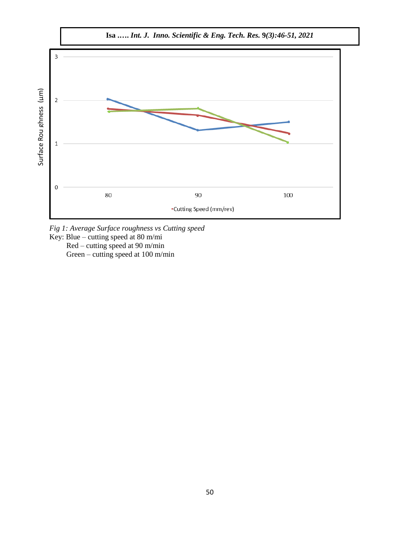

*Fig 1: Average Surface roughness vs Cutting speed*

Key: Blue – cutting speed at 80 m/mi

 Red – cutting speed at 90 m/min Green – cutting speed at 100 m/min